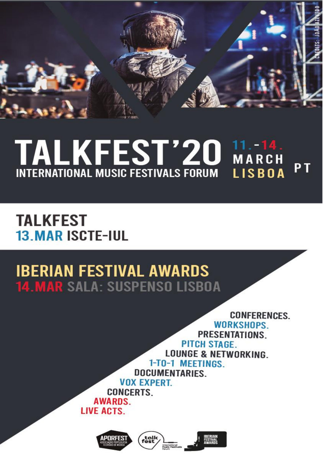

# TALKFEST'20 MARCH MARCH **INTERNATIONAL MUSIC FESTIVALS FORUM LISBOA**

# **TALKFEST 13. MAR ISCTE-IUL**

# **IBERIAN FESTIVAL AWARDS 14. MAR SALA: SUSPENSO LISBOA**

**CONFERENCES WORKSHOPS** PRESENTATIONS.

PITCH STAGE. **LOUNGE & NETWORKING.** 1-TO-1 MEETINGS.

DOCUMENTARIES. **VOX EXPERT.** 

**CONCERTS. AWARDS.** 

**LIVE ACTS.** 

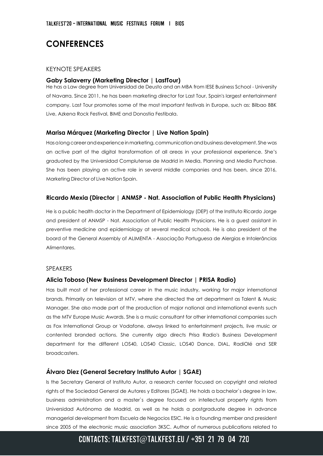# **CONFERENCES**

#### KEYNOTE SPEAKERS

#### **Gaby Salaverry (Marketing Director | LastTour)**

He has a Law degree from Universidad de Deusto and an MBA from IESE Business School - University of Navarra. Since 2011, he has been marketing director for Last Tour, Spain's largest entertainment company. Last Tour promotes some of the most important festivals in Europe, such as: Bilbao BBK Live, Azkena Rock Festival, BIME and Donostia Festibala.

#### **Marisa Márquez (Marketing Director | Live Nation Spain)**

Has a long career and experience in marketing, communication and business development. She was an active part of the digital transformation of all areas in your professional experience. She's graduated by the Universidad Complutense de Madrid in Media, Planning and Media Purchase. She has been playing an active role in several middle companies and has been, since 2016, Marketing Director of Live Nation Spain.

#### **Ricardo Mexia (Director | ANMSP - Nat. Association of Public Health Physicians)**

He is a public health doctor in the Department of Epidemiology (DEP) of the Instituto Ricardo Jorge and president of ANMSP - Nat. Association of Public Health Physicians. He is a guest assistant in preventive medicine and epidemiology at several medical schools. He is also president of the board of the General Assembly of ALIMENTA - Associação Portuguesa de Alergias e Intolerâncias Alimentares.

#### SPEAKERS

#### **Alicia Toboso (New Business Development Director | PRISA Radio)**

Has built most of her professional career in the music industry, working for major international brands. Primarily on television at MTV, where she directed the art department as Talent & Music Manager. She also made part of the production of major national and international events such as the MTV Europe Music Awards. She is a music consultant for other international companies such as Fox International Group or Vodafone, always linked to entertainment projects, live music or contented branded actions. She currently algo directs Prisa Radio's Business Development department for the different LOS40, LOS40 Classic, LOS40 Dance, DIAL, RadiOlé and SER broadcasters.

#### **Álvaro Diez (General Secretary Instituto Autor | SGAE)**

Is the Secretary General of Instituto Autor, a research center focused on copyright and related rights of the Sociedad General de Autores y Editores (SGAE). He holds a bachelor`s degree in law, business administration and a master`s degree focused on intellectual property rights from Universidad Autónoma de Madrid, as well as he holds a postgraduate degree in advance managerial development from Escuela de Negocios ESIC. He is a founding member and president since 2005 of the electronic music association 3KSC. Author of numerous publications related to

# CONTACTS: TALKFEST@TALKFEST.EU / +351 21 79 04 720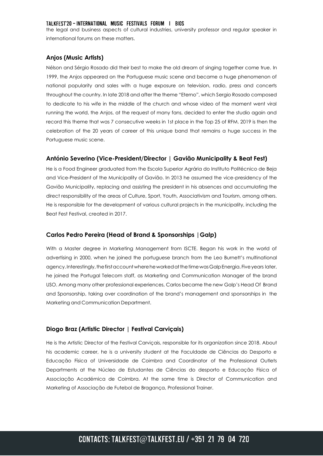#### TALKFEST'20 - INTERNATIONAL MUSIC FESTIVALS FORUM | BIOS

the legal and business aspects of cultural industries, university professor and regular speaker in international forums on these matters.

### **Anjos (Music Artists)**

Nélson and Sérgio Rosado did their best to make the old dream of singing together come true. In 1999, the Anjos appeared on the Portuguese music scene and became a huge phenomenon of national popularity and sales with a huge exposure on television, radio, press and concerts throughout the country. In late 2018 and after the theme "Eterno", which Sergio Rosado composed to dedicate to his wife in the middle of the church and whose video of the moment went viral running the world, the Anjos, at the request of many fans, decided to enter the studio again and record this theme that was 7 consecutive weeks in 1st place in the Top 25 of RFM. 2019 is then the celebration of the 20 years of career of this unique band that remains a huge success in the Portuguese music scene.

### **António Severino (Vice-President/Director | Gavião Municipality & Beat Fest)**

He is a Food Engineer graduated from the Escola Superior Agrária do Instituto Politécnico de Beja and Vice-President of the Municipality of Gavião. In 2013 he assumed the vice-presidency of the Gavião Municipality, replacing and assisting the president in his absences and accumulating the direct responsibility of the areas of Culture, Sport, Youth, Associativism and Tourism, among others. He is responsible for the development of various cultural projects in the municipality, including the Beat Fest Festival, created in 2017.

#### **Carlos Pedro Pereira (Head of Brand & Sponsorships |Galp)**

With a Master degree in Marketing Management from ISCTE. Began his work in the world of advertising in 2000, when he joined the portuguese branch from the Leo Burnett's multinational agency.Interestingly, the first account where he worked at the time was Galp Energia. Five years later, he joined the Portugal Telecom staff, as Marketing and Communication Manager of the brand USO. Among many other professional experiences, Carlos became the new Galp's Head Of Brand and Sponsorship, taking over coordination of the brand's management and sponsorships in the Marketing and Communication Department.

#### **Diogo Braz (Artistic Director | Festival Carviçais)**

He is the Artistic Director of the Festival Carviçais, responsible for its organization since 2018. About his academic career, he is a university student at the Faculdade de Ciências do Desporto e Educação Física of Universidade de Coimbra and Coordinator of the Professional Outlets Departments at the Núcleo de Estudantes de Ciências do desporto e Educação Física of Associação Académica de Coimbra. At the same time is Director of Communication and Marketing of Associação de Futebol de Bragança, Professional Trainer.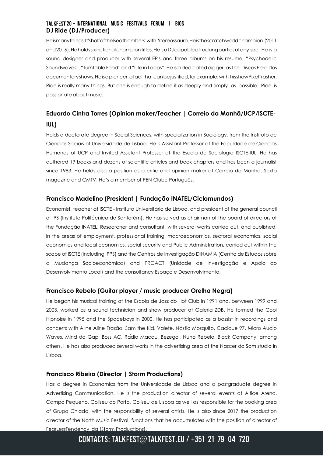## TALKFEST'20 - INTERNATIONAL MUSIC FESTIVALS FORUM | BIOS **DJ Ride (DJ/Producer)**

Heismanythings.It'shalfoftheBeatbombers with Stereossauro.Heisthescratchworldchampion (2011 and2016).Heholdssixnationalchampiontitles.HeisaDJcapableofrockingpartiesofany size. He is a sound designer and producer with several EP's and three albums on his resume, "Psychedelic Soundwaves", "Turntable Food" and "Life in Loops". He is a dedicated digger, as the Discos Perdidos documentaryshows.Heisapioneer,afactthatcanbejustified,forexample,with hisshowPixelTrasher. Ride is really many things. But one is enough to define it as deeply and simply as possible: Ride is passionate about music.

# **Eduardo Cintra Torres (Opinion maker/Teacher | Correio da Manhã/UCP/ISCTE-IUL)**

Holds a doctorate degree in Social Sciences, with specialization in Sociology, from the Instituto de Ciências Sociais of Universidade de Lisboa. He is Assistant Professor at the Faculdade de Ciências Humanas of UCP and Invited Assistant Professor at the Escola de Sociologia ISCTE-IUL. He has authored 19 books and dozens of scientific articles and book chapters and has been a journalist since 1983. He helds also a position as a critic and opinion maker at Correio da Manhã, Sexta magazine and CMTV. He's a member of PEN Clube Português.

## **Francisco Madelino (President | Fundação INATEL/Ciclomundos)**

Economist, teacher at ISCTE - Instituto Universitário de Lisboa, and president of the general council of IPS (Instituto Politécnico de Santarém). He has served as chairman of the board of directors of the Fundação INATEL. Researcher and consultant, with several works carried out, and published, in the areas of employment, professional training, macroeconomics, sectoral economics, social economics and local economics, social security and Public Administration, carried out within the scope of ISCTE (including IPPS) and the Centros de Investigação DINAMIA (Centro de Estudos sobre a Mudança Socioeconómica) and PROACT (Unidade de Investigação e Apoio ao Desenvolvimento Local) and the consultancy Espaço e Desenvolvimento.

## **Francisco Rebelo (Guitar player / music producer Orelha Negra)**

He began his musical training at the Escola de Jazz do Hot Club in 1991 and, between 1999 and 2003, worked as a sound technician and show producer at Galeria ZDB. He formed the Cool Hipnoise in 1995 and the Spaceboys in 2000. He has participated as a bassist in recordings and concerts with Aline Aline Frazão, Sam the Kid, Valete, Nástio Mosquito, Cacique 97, Micro Audio Waves, Mind da Gap, Boss AC, Rádio Macau, Bezegol, Nuno Rebelo, Black Company, among others. He has also produced several works in the advertising area at the Nascer do Som studio in Lisboa.

## **Francisco Ribeiro (Director | Storm Productions)**

Has a degree in Economics from the Universidade de Lisboa and a postgraduate degree in Advertising Communication. He is the production director of several events at Altice Arena, Campo Pequeno, Coliseu do Porto, Coliseu de Lisboa as well as responsible for the booking area of Grupo Chiado, with the responsibility of several artists. He is also since 2017 the production director of the North Music Festival, functions that he accumulates with the position of director of FearLessTendency lda (Storm Productions).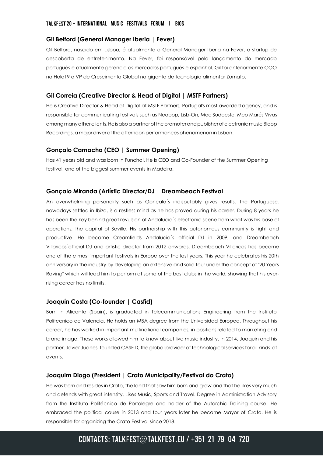#### **Gil Belford (General Manager Iberia | Fever)**

Gil Belford, nascido em Lisboa, é atualmente o General Manager Iberia na Fever, a startup de descoberta de entretenimento. Na Fever, foi responsável pelo lançamento do mercado português e atualmente gerencia os mercados português e espanhol. Gil foi anteriormente COO no Hole19 e VP de Crescimento Global no gigante de tecnologia alimentar Zomato.

## **Gil Correia (Creative Director & Head of Digital | MSTF Partners)**

He is Creative Director & Head of Digital at MSTF Partners, Portugal's most awarded agency, and is responsible for communicating festivals such as Neopop, Lisb-On, Meo Sudoeste, Meo Marés Vivas amongmanyotherclients.Heisalsoapartnerofthepromoterandpublisherofelectronicmusic Bloop Recordings, a major driver of the afternoon performances phenomenon in Lisbon.

## **Gonçalo Camacho (CEO | Summer Opening)**

Has 41 years old and was born in Funchal. He is CEO and Co-Founder of the Summer Opening festival, one of the biggest summer events in Madeira.

### **Gonçalo Miranda (Artístic Director/DJ | Dreambeach Festival**

An overwhelming personality such as Gonçalo´s indisputably gives results. The Portuguese, nowadays settled in Ibiza, is a restless mind as he has proved during his career. During 8 years he has been the key behind great revulsion of Andalucia´s electronic scene from what was his base of operations, the capital of Seville. His partnership with this autonomous community is tight and productive. He became Creamfields Andalucia´s official DJ in 2009, and Dreambeach Villaricos´official DJ and artistic director from 2012 onwards. Dreambeach Villaricos has become one of the e most important festivals in Europe over the last years. This year he celebrates his 20th anniversary in the industry by developing an extensive and solid tour under the concept of "20 Years Raving" which will lead him to perform at some of the best clubs in the world, showing that his everrising career has no limits.

## **Joaquín Costa (Co-founder | Casfid)**

Born in Alicante (Spain), is graduated in Telecommunications Engineering from the Instituto Politecnico de Valencia. He holds an MBA degree from the Universidad Europea. Throughout his career, he has worked in important multinational companies, in positions related to marketing and brand image. These works allowed him to know about live music industry. In 2014, Joaquin and his partner, Javier Juanes, founded CASFID, the global provider of technological services for all kinds of events.

## **Joaquim Diogo (President | Crato Municipality/Festival do Crato)**

He was born and resides in Crato, the land that saw him born and grow and that he likes very much and defends with great intensity. Likes Music, Sports and Travel. Degree in Administration Advisory from the Instituto Politécnico de Portalegre and holder of the Autarchic Training course. He embraced the political cause in 2013 and four years later he became Mayor of Crato. He is responsible for organizing the Crato Festival since 2018.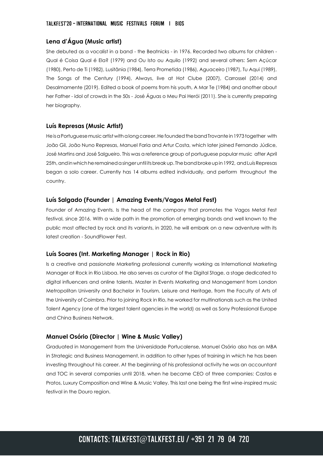## **Lena d'Água (Music artist)**

She debuted as a vocalist in a band - the Beatnicks - in 1976. Recorded two albums for children - Qual é Coisa Qual é Ela? (1979) and Ou Isto ou Aquilo (1992) and several others: Sem Açúcar (1980), Perto de Ti (1982), Lusitânia (1984), Terra Prometida (1986), Aguaceiro (1987), Tu Aqui (1989), The Songs of the Century (1994), Always, live at Hot Clube (2007), Carrossel (2014) and Desalmamente (2019). Edited a book of poems from his youth, A Mar Te (1984) and another about her Father - idol of crowds in the 50s - José Águas o Meu Pai Herói (2011). She is currently preparing her biography.

### **Luís Represas (Music Artist)**

He is a Portuguese music artist with a long career. He founded the band Trovante in 1973 together with João Gil, João Nuno Represas, Manuel Faria and Artur Costa, which later joined Fernando Júdice, José Martins and José Salgueiro. This was a reference group of portuguese popular music after April 25th, and in which he remained a singer until its break up. The band broke up in 1992, and Luís Represas began a solo career. Currently has 14 albums edited individually, and perform throughout the country.

### **Luís Salgado (Founder | Amazing Events/Vagos Metal Fest)**

Founder of Amazing Events. Is the head of the company that promotes the Vagos Metal Fest festival, since 2016. With a wide path in the promotion of emerging bands and well known to the public most affected by rock and its variants, in 2020, he will embark on a new adventure with its latest creation - SoundFlower Fest.

#### **Luís Soares (Int. Marketing Manager | Rock in Rio)**

Is a creative and passionate Marketing professional currently working as International Marketing Manager at Rock in Rio Lisboa. He also serves as curator of the Digital Stage, a stage dedicated to digital influencers and online talents. Master in Events Marketing and Management from London Metropolitan University and Bachelor in Tourism, Leisure and Heritage, from the Faculty of Arts of the University of Coimbra. Prior to joining Rock in Rio, he worked for multinationals such as the United Talent Agency (one of the largest talent agencies in the world) as well as Sony Professional Europe and China Business Network.

## **Manuel Osório (Director | Wine & Music Valley)**

Graduated in Management from the Universidade Portucalense, Manuel Osório also has an MBA in Strategic and Business Management, in addition to other types of training in which he has been investing throughout his career. At the beginning of his professional activity he was an accountant and TOC in several companies until 2018, when he became CEO of three companies: Castas e Pratos, Luxury Composition and Wine & Music Valley. This last one being the first wine-inspired music festival in the Douro region.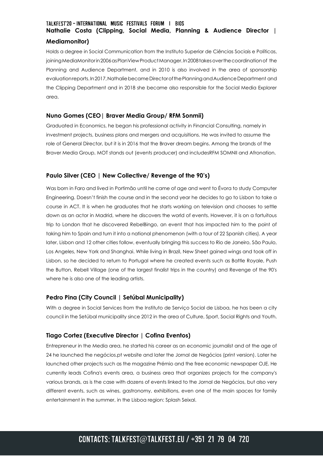# TALKFEST'20 - INTERNATIONAL MUSIC FESTIVALS FORUM | BIOS **Nathalie Costa (Clipping, Social Media, Planning & Audience Director |**

## **Mediamonitor)**

Holds a degree in Social Communication from the Instituto Superior de Ciências Sociais e Políticas, joining MediaMonitorin 2006 as PlanView Product Manager. In 2008 takes over the coordination of the Planning and Audience Department, and in 2010 is also involved in the area of sponsorship evaluationreports.In2017,NathaliebecameDirectorofthePlanningandAudienceDepartment and the Clipping Department and in 2018 she became also responsible for the Social Media Explorer area.

## **Nuno Gomes (CEO| Braver Media Group/ RFM Sonmii)**

Graduated in Economics, he began his professional activity in Financial Consulting, namely in investment projects, business plans and mergers and acquisitions. He was invited to assume the role of General Director, but it is in 2016 that the Braver dream begins. Among the brands of the Braver Media Group, MOT stands out (events producer) and includesRFM SOMNII and Afronation.

## **Paulo Silver (CEO | New Collective/ Revenge of the 90's)**

Was born in Faro and lived in Portimão until he came of age and went to Évora to study Computer Engineering. Doesn't finish the course and in the second year he decides to go to Lisbon to take a course in ACT. It is when he graduates that he starts working on television and chooses to settle down as an actor in Madrid, where he discovers the world of events. However, it is on a fortuitous trip to London that he discovered RebelBingo, an event that has impacted him to the point of taking him to Spain and turn it into a national phenomenon (with a tour of 22 Spanish cities). A year later, Lisbon and 12 other cities follow, eventually bringing this success to Rio de Janeiro, São Paulo, Los Angeles, New York and Shanghai. While living in Brazil, New Sheet gained wings and took off in Lisbon, so he decided to return to Portugal where he created events such as Battle Royale, Push the Button, Rebell Village (one of the largest finalist trips in the country) and Revenge of the 90's where he is also one of the leading artists.

## **Pedro Pina (City Council | Setúbal Municipality)**

With a degree in Social Services from the Instituto de Serviço Social de Lisboa, he has been a city council in the Setúbal municipality since 2012 in the area of Culture, Sport, Social Rights and Youth.

## **Tiago Cortez (Executive Director | Cofina Eventos)**

Entrepreneur in the Media area, he started his career as an economic journalist and at the age of 24 he launched the negócios.pt website and later the Jornal de Negócios (print version). Later he launched other projects such as the magazine Prémio and the free economic newspaper OJE. He currently leads Cofina's events area, a business area that organizes projects for the company's various brands, as is the case with dozens of events linked to the Jornal de Negócios, but also very different events, such as wines, gastronomy, exhibitions, even one of the main spaces for family entertainment in the summer, in the Lisboa region: Splash Seixal.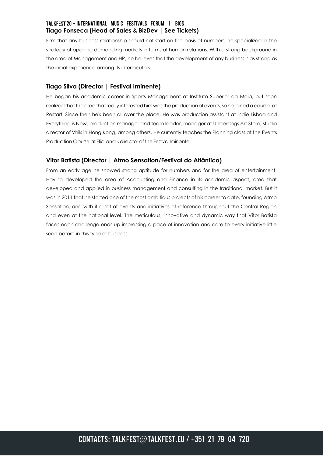## TALKFEST'20 - INTERNATIONAL MUSIC FESTIVALS FORUM | BIOS **Tiago Fonseca (Head of Sales & BizDev | See Tickets)**

Firm that any business relationship should not start on the basis of numbers, he specialized in the strategy of opening demanding markets in terms of human relations. With a strong background in the area of Management and HR, he believes that the development of any business is as strong as the initial experience among its interlocutors.

## **Tiago Silva (Director | Festival Iminente)**

He began his academic career in Sports Management at Instituto Superior da Maia, but soon realized that the area that really interested him was the production of events, so he joined a course at Restart. Since then he's been all over the place. He was production assistant at Indie Lisboa and Everything is New, production manager and team leader, manager at Underdogs Art Store, studio director of Vhils in Hong Kong, among others. He currently teaches the Planning class at the Events Production Course at Etic and is director of the Festival Iminente.

## **Vitor Batista (Director | Atmo Sensation/Festival do Atlântico)**

From an early age he showed strong aptitude for numbers and for the area of entertainment. Having developed the area of Accounting and Finance in its academic aspect, area that developed and applied in business management and consulting in the traditional market. But it was in 2011 that he started one of the most ambitious projects of his career to date, founding Atmo Sensation, and with it a set of events and initiatives of reference throughout the Central Region and even at the national level. The meticulous, innovative and dynamic way that Vitor Batista faces each challenge ends up impressing a pace of innovation and care to every initiative little seen before in this type of business.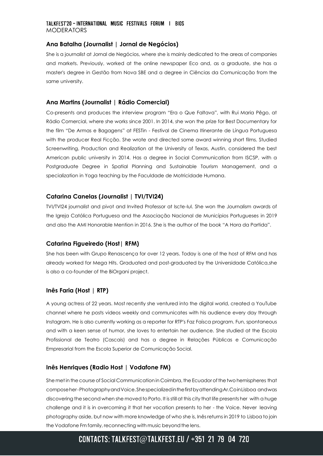### TALKFEST'20 - INTERNATIONAL MUSIC FESTIVALS FORUM | BIOS MODERATORS

## **Ana Batalha (Journalist | Jornal de Negócios)**

She is a journalist at Jornal de Negócios, where she is mainly dedicated to the areas of companies and markets. Previously, worked at the online newspaper Eco and, as a graduate, she has a master's degree in Gestão from Nova SBE and a degree in Ciências da Comunicação from the same university.

## **Ana Martins (Journalist | Rádio Comercial)**

Co-presents and produces the interview program "Era o Que Faltava", with Rui Maria Pêgo, at Rádio Comercial, where she works since 2001. In 2014, she won the prize for Best Documentary for the film "De Armas e Bagagens" at FESTin - Festival de Cinema Itinerante de Língua Portuguesa with the producer Real Ficção. She wrote and directed some award winning short films. Studied Screenwriting, Production and Realization at the University of Texas, Austin, considered the best American public university in 2014. Has a degree in Social Communication from ISCSP, with a Postgraduate Degree in Spatial Planning and Sustainable Tourism Management, and a specialization in Yoga teaching by the Faculdade de Motricidade Humana.

### **Catarina Canelas (Journalist | TVI/TVI24)**

TVI/TVI24 journalist and pivot and Invited Professor at Iscte-Iul. She won the Journalism awards of the Igreja Católica Portuguesa and the Associação Nacional de Municípios Portugueses in 2019 and also the AMI Honorable Mention in 2016. She is the author of the book "A Hora da Partida".

#### **Catarina Figueiredo (Host| RFM)**

She has been with Grupo Renascença for over 12 years. Today is one of the host of RFM and has already worked for Mega Hits. Graduated and post-graduated by the Universidade Católica,she is also a co-founder of the BiOrgani project.

#### **Inês Faria (Host | RTP)**

A young actress of 22 years. Most recently she ventured into the digital world, created a YouTube channel where he posts videos weekly and communicates with his audience every day through Instagram. He is also currently working as a reporter for RTP's Faz Faísca program. Fun, spontaneous and with a keen sense of humor, she loves to entertain her audience. She studied at the Escola Profissional de Teatro (Cascais) and has a degree in Relações Públicas e Comunicação Empresarial from the Escola Superior de Comunicação Social.

#### **Inês Henriques (Radio Host | Vodafone FM)**

She met in the course of Social Communication in Coimbra, the Ecuador of the two hemispheres that composeher-PhotographyandVoice.ShespecializedinthefirstbyattendingAr.CoinLisboa andwas discovering the second when she moved to Porto. It isstillat this city that life presents her with a huge challenge and it is in overcoming it that her vocation presents to her - the Voice. Never leaving photography aside, but now with more knowledge of who she is, Inês returns in 2019 to Lisboa to join the Vodafone Fm family, reconnecting with music beyond the lens.

# CONTACTS: TALKFEST@TALKFEST.EU / +351 21 79 04 720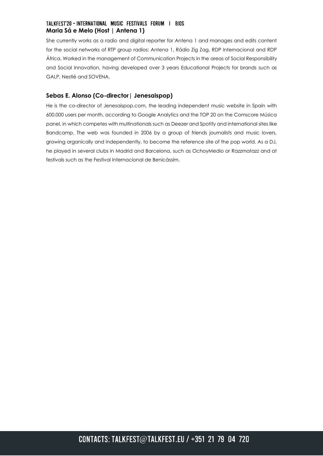## TALKFEST'20 - INTERNATIONAL MUSIC FESTIVALS FORUM | BIOS **Maria Sá e Melo (Host | Antena 1)**

She currently works as a radio and digital reporter for Antena 1 and manages and edits content for the social networks of RTP group radios: Antena 1, Rádio Zig Zag, RDP Internacional and RDP África. Worked in the management of Communication Projects in the areas of Social Responsibility and Social Innovation, having developed over 3 years Educational Projects for brands such as GALP, Nestlé and SOVENA.

## **Sebas E. Alonso (Co-director| Jenesaispop)**

He is the co-director of Jenesaispop.com, the leading independent music website in Spain with 600.000 users per month, according to Google Analytics and the TOP 20 on the Comscore Música panel, in which competes with multinationals such as Deezer and Spotify and international sites like Bandcamp. The web was founded in 2006 by a group of friends journalists and music lovers, growing organically and independently, to become the reference site of the pop world. As a DJ, he played in several clubs in Madrid and Barcelona, such as OchoyMedio or Razzmatazz and at festivals such as the Festival Internacional de Benicàssim.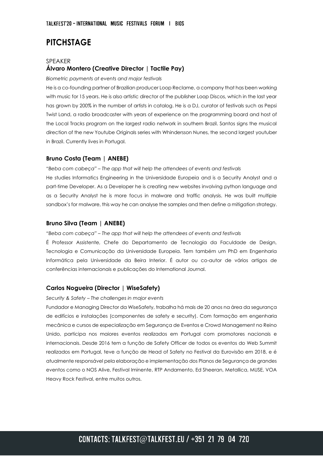# **PITCHSTAGE**

## SPEAKER **Álvaro Montero (Creative Director | Tactile Pay)**

#### *Biometric payments at events and major festivals*

He is a co-founding partner of Brazilian producer Loop Reclame, a company that has been working with music for 15 years. He is also artistic director of the publisher Loop Discos, which in the last year has grown by 200% in the number of artists in catalog. He is a DJ, curator of festivals such as Pepsi Twist Land, a radio broadcaster with years of experience on the programming board and host of the Local Tracks program on the largest radio network in southern Brazil. Santos signs the musical direction of the new Youtube Originals series with Whindersson Nunes, the second largest youtuber in Brazil. Currently lives in Portugal.

## **Bruno Costa (Team | ANEBE)**

*"Beba com cabeça" – The app that will help the attendees of events and festivals*

He studies Informatics Engineering in the Universidade Europeia and is a Security Analyst and a part-time Developer. As a Developer he is creating new websites involving python language and as a Security Analyst he is more focus in malware and traffic analysis. He was built multiple sandbox's for malware, this way he can analyse the samples and then define a mitigation strategy.

#### **Bruno Silva (Team | ANEBE)**

*"Beba com cabeça" – The app that will help the attendees of events and festivals*

É Professor Assistente, Chefe do Departamento de Tecnologia da Faculdade de Design, Tecnologia e Comunicação da Universidade Europeia. Tem também um PhD em Engenharia Informática pela Universidade da Beira Interior. É autor ou co-autor de vários artigos de conferências internacionais e publicações do International Journal.

#### **Carlos Nogueira (Director | WiseSafety)**

#### *Security & Safety – The challenges in major events*

Fundador e Managing Director da WiseSafety, trabalha há mais de 20 anos na área da segurança de edifícios e instalações (componentes de safety e security). Com formação em engenharia mecânica e cursos de especialização em Segurança de Eventos e Crowd Management no Reino Unido, participa nos maiores eventos realizados em Portugal com promotores nacionais e internacionais. Desde 2016 tem a função de Safety Officer de todos os eventos do Web Summit realizados em Portugal, teve a função de Head of Safety no Festival da Eurovisão em 2018, e é atualmente responsável pela elaboração e implementação dos Planos de Segurança de grandes eventos como o NOS Alive, Festival Iminente, RTP Andamento, Ed Sheeran, Metallica, MUSE, VOA Heavy Rock Festival, entre muitos outros.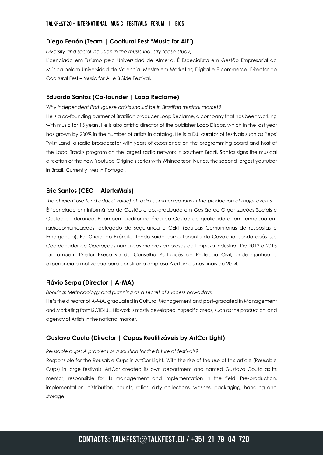#### **Diego Ferrón (Team | Cooltural Fest "Music for All")**

*Diversity and social inclusion in the music industry (case-study)*

Licenciado em Turismo pela Universidad de Almería. É Especialista em Gestão Empresarial da Música pelam Universidad de Valencia. Mestre em Marketing Digital e E-commerce. Director do Cooltural Fest – Music for All e B Side Festival.

## **Eduardo Santos (Co-founder | Loop Reclame)**

*Why independent Portuguese artists should be in Brazilian musical market?*

He is a co-founding partner of Brazilian producer Loop Reclame, a company that has been working with music for 15 years. He is also artistic director of the publisher Loop Discos, which in the last year has grown by 200% in the number of artists in catalog. He is a DJ, curator of festivals such as Pepsi Twist Land, a radio broadcaster with years of experience on the programming board and host of the Local Tracks program on the largest radio network in southern Brazil. Santos signs the musical direction of the new Youtube Originals series with Whindersson Nunes, the second largest youtuber in Brazil. Currently lives in Portugal.

### **Eric Santos (CEO | AlertaMais)**

*The efficient use (and added value) of radio communications in the production of major events* É licenciado em Informática de Gestão e pós-graduado em Gestão de Organizações Sociais e Gestão e Liderança. É também auditor na área da Gestão de qualidade e tem formação em radiocomunicações, delegado de segurança e CERT (Equipas Comunitárias de respostas à Emergência). Foi Oficial do Exército, tendo saído como Tenente de Cavalaria, sendo após isso Coordenador de Operações numa das maiores empresas de Limpeza Industrial. De 2012 a 2015 foi também Diretor Executivo do Conselho Português de Proteção Civil, onde ganhou a experiência e motivação para constituir a empresa Alertamais nos finais de 2014.

#### **Flávio Serpa (Director | A-MA)**

*Booking: Methodology and planning as a secret of success nowadays.*

He's the director of A-MA, graduated in Cultural Management and post-gradated in Management and Marketing from ISCTE-IUL. His work is mostly developed in specific areas, such as the production and agency of Artists in the national market.

#### **Gustavo Couto (Director | Copos Reutilizáveis by ArtCor Light)**

#### *Reusable cups: A problem or a solution for the future of festivals?*

Responsible for the Reusable Cups in ArtCor Light. With the rise of the use of this article (Reusable Cups) in large festivals, ArtCor created its own department and named Gustavo Couto as its mentor, responsible for its management and implementation in the field. Pre-production, implementation, distribution, counts, ratios, dirty collections, washes, packaging, handling and storage.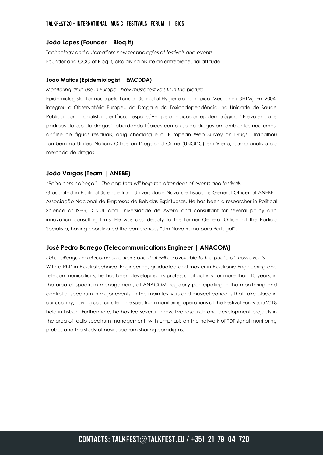#### **João Lopes (Founder | Bloq.it)**

*Technology and automation: new technologies at festivals and events* Founder and COO of Bloq.it, also giving his life an entrepreneurial attitude.

#### **João Matias (Epidemiologist | EMCDDA)**

*Monitoring drug use in Europe - how music festivals fit in the picture* 

Epidemiologista, formado pela London School of Hygiene and Tropical Medicine (LSHTM). Em 2004, integrou o Observatório Europeu da Droga e da Toxicodependência, na Unidade de Saúde Pública como analista científico, responsável pelo indicador epidemiológico "Prevalência e padrões de uso de drogas", abordando tópicos como uso de drogas em ambientes nocturnos, análise de águas residuais, drug checking e o 'European Web Survey on Drugs'. Trabalhou também no United Nations Office on Drugs and Crime (UNODC) em Viena, como analista do mercado de drogas.

#### **João Vargas (Team | ANEBE)**

*"Beba com cabeça" – The app that will help the attendees of events and festivals* Graduated in Political Science from Universidade Nova de Lisboa, is General Officer of ANEBE - Associação Nacional de Empresas de Bebidas Espirituosas. He has been a researcher in Political Science at ISEG, ICS-UL and Universidade de Aveiro and consultant for several policy and innovation consulting firms. He was also deputy to the former General Officer of the Partido Socialista, having coordinated the conferences "Um Novo Rumo para Portugal".

#### **José Pedro Barrego (Telecommunications Engineer | ANACOM)**

*5G challenges in telecommunications and that will be available to the public at mass events* With a PhD in Electrotechnical Engineering, graduated and master in Electronic Engineering and Telecommunications, he has been developing his professional activity for more than 15 years, in the area of spectrum management, at ANACOM, regularly participating in the monitoring and control of spectrum in major events, in the main festivals and musical concerts that take place in our country, having coordinated the spectrum monitoring operations at the Festival Eurovisão 2018 held in Lisbon. Furthermore, he has led several innovative research and development projects in the area of radio spectrum management, with emphasis on the network of TDT signal monitoring probes and the study of new spectrum sharing paradigms.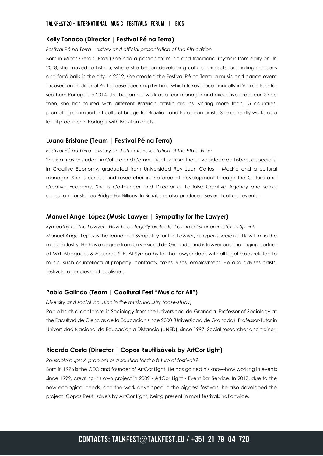#### **Kelly Tonaco (Director | Festival Pé na Terra)**

*Festival Pé na Terra – history and official presentation of the 9th edition* 

Born in Minas Gerais (Brazil) she had a passion for music and traditional rhythms from early on. In 2008, she moved to Lisboa, where she began developing cultural projects, promoting concerts and forró balls in the city. In 2012, she created the Festival Pé na Terra, a music and dance event focused on traditional Portuguese-speaking rhythms, which takes place annually in Vila da Fuseta, southern Portugal. In 2014, she began her work as a tour manager and executive producer. Since then, she has toured with different Brazilian artistic groups, visiting more than 15 countries, promoting an important cultural bridge for Brazilian and European artists. She currently works as a local producer in Portugal with Brazilian artists.

#### **Luana Bristane (Team | Festival Pé na Terra)**

*Festival Pé na Terra – history and official presentation of the 9th edition* 

She is a master student in Culture and Communication from the Universidade de Lisboa, a specialist in Creative Economy, graduated from Universidad Rey Juan Carlos – Madrid and a cultural manager. She is curious and researcher in the area of development through the Culture and Creative Economy. She is Co-founder and Director of LadoBe Creative Agency and senior consultant for startup Bridge For Billions. In Brazil, she also produced several cultural events.

#### **Manuel Angel López (Music Lawyer | Sympathy for the Lawyer)**

*Sympathy for the Lawyer - How to be legally protected as an artist or promoter, in Spain?* Manuel Angel López is the founder of Sympathy for the Lawyer, a hyper-specialized law firm in the music industry. He has a degree from Universidad de Granada and is lawyer and managing partner at MYL Abogados & Asesores, SLP. At Sympathy for the Lawyer deals with all legal issues related to music, such as intellectual property, contracts, taxes, visas, employment. He also advises artists, festivals, agencies and publishers.

#### **Pablo Galindo (Team | Cooltural Fest "Music for All")**

*Diversity and social inclusion in the music industry (case-study)*

Pablo holds a doctorate in Sociology from the Universidad de Granada. Professor of Sociology at the Facultad de Ciencias de la Educación since 2000 (Universidad de Granada). Professor-Tutor in Universidad Nacional de Educación a Distancia (UNED), since 1997. Social researcher and trainer.

#### **Ricardo Costa (Director | Copos Reutilizáveis by ArtCor Light)**

*Reusable cups: A problem or a solution for the future of festivals?*

Born in 1976 is the CEO and founder of ArtCor Light. He has gained his know-how working in events since 1999, creating his own project in 2009 - ArtCor Light - Event Bar Service. In 2017, due to the new ecological needs, and the work developed in the biggest festivals, he also developed the project: Copos Reutilizáveis by ArtCor Light, being present in most festivals nationwide.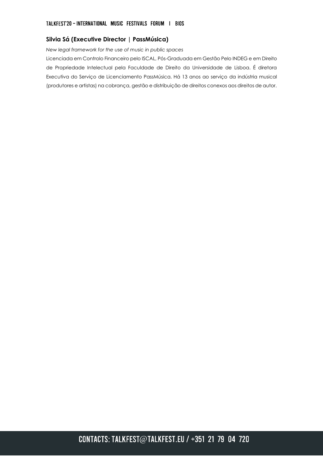## **Silvia Sá (Executive Director | PassMúsica)**

*New legal framework for the use of music in public spaces*

Licenciada em Controlo Financeiro pelo ISCAL, Pós-Graduada em Gestão Pelo INDEG e em Direito de Propriedade Intelectual pela Faculdade de Direito da Universidade de Lisboa. É diretora Executiva do Serviço de Licenciamento PassMúsica. Há 13 anos ao serviço da indústria musical (produtores e artistas) na cobrança, gestão e distribuição de direitos conexos aos direitos de autor.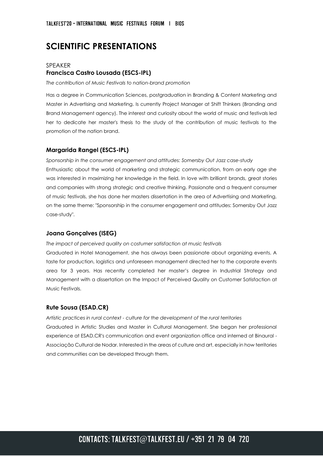# **SCIENTIFIC PRESENTATIONS**

## SPEAKER **Francisca Castro Lousada (ESCS-IPL)**

*The contribution of Music Festivals to nation-brand promotion*

Has a degree in Communication Sciences, postgraduation in Branding & Content Marketing and Master in Advertising and Marketing. Is currently Project Manager at Shift Thinkers (Branding and Brand Management agency). The interest and curiosity about the world of music and festivals led her to dedicate her master's thesis to the study of the contribution of music festivals to the promotion of the nation brand.

#### **Margarida Rangel (ESCS-IPL)**

*Sponsorship in the consumer engagement and attitudes: Somersby Out Jazz case-study*  Enthusiastic about the world of marketing and strategic communication, from an early age she was interested in maximizing her knowledge in the field. In love with brilliant brands, great stories and companies with strong strategic and creative thinking. Passionate and a frequent consumer of music festivals, she has done her masters dissertation in the area of Advertising and Marketing, on the same theme: "Sponsorship in the consumer engagement and attitudes: Somersby Out Jazz case-study".

#### **Joana Gonçalves (ISEG)**

#### *The impact of perceived quality on costumer satisfaction at music festivals*

Graduated in Hotel Management, she has always been passionate about organizing events. A taste for production, logistics and unforeseen management directed her to the corporate events area for 3 years. Has recently completed her master's degree in Industrial Strategy and Management with a dissertation on the Impact of Perceived Quality on Customer Satisfaction at Music Festivals.

#### **Rute Sousa (ESAD.CR)**

*Artístic practices in rural context - culture for the development of the rural territories* Graduated in Artistic Studies and Master in Cultural Management. She began her professional experience at ESAD.CR's communication and event organization office and interned at Binaural - Associação Cultural de Nodar. Interested in the areas of culture and art, especially in how territories and communities can be developed through them.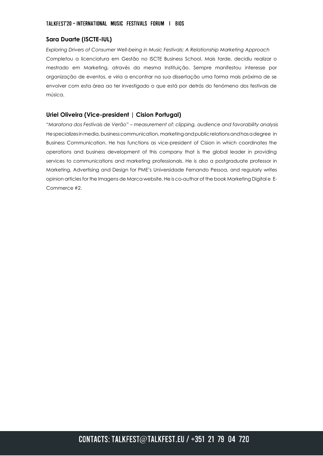## **Sara Duarte (ISCTE-IUL)**

*Exploring Drivers of Consumer Well-being in Music Festivals: A Relationship Marketing Approach*  Completou a licenciatura em Gestão no ISCTE Business School. Mais tarde, decidiu realizar o mestrado em Marketing, através da mesma Instituição. Sempre manifestou interesse por organização de eventos, e viria a encontrar na sua dissertação uma forma mais próxima de se envolver com esta área ao ter investigado o que está por detrás do fenómeno dos festivais de música.

### **Uriel Oliveira (Vice-president | Cision Portugal)**

*"Maratona dos Festivais de Verão" – measurement of: clipping, audience and favorability analysis* Hespecializes in media, business communication, marketing and public relations and has a degree in Business Communication. He has functions as vice-president of Cision in which coordinates the operations and business development of this company that is the global leader in providing services to communications and marketing professionals. He is also a postgraduate professor in Marketing, Advertising and Design for PME's Universidade Fernando Pessoa, and regularly writes opinion articlesfor the Imagens de Marca website. He isco-author of the book Marketing Digital e E-Commerce #2.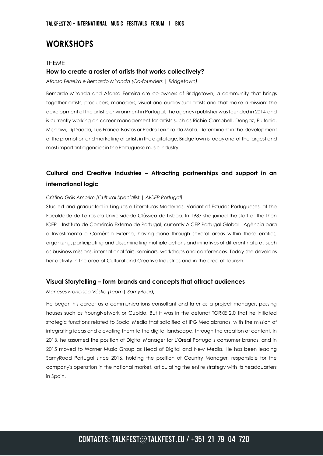# **WORKSHOPS**

#### THEME

#### **How to create a roster of artists that works collectively?**

*Afonso Ferreira e Bernardo Miranda (Co-founders | Bridgetown)*

Bernardo Miranda and Afonso Ferreira are co-owners of Bridgetown, a community that brings together artists, producers, managers, visual and audiovisual artists and that make a mission: the development of the artistic environment in Portugal. The agency/publisher was founded in 2014 and is currently working on career management for artists such as Richie Campbell, Dengaz, Plutonio, Mishlawi, Dj Dadda, Luis Franco-Bastos or Pedro Teixeira da Mota. Determinant in the development ofthepromotionandmarketingofartistsinthedigitalage,Bridgetownistodayone of the largest and most important agenciesin the Portuguese music industry.

# **Cultural and Creative Industries – Attracting partnerships and support in an international logic**

*Cristina Góis Amorim (Cultural Specialist | AICEP Portugal)*

Studied and graduated in Línguas e Literaturas Modernas, Variant of Estudos Portugueses, at the Faculdade de Letras da Universidade Clássica de Lisboa. In 1987 she joined the staff of the then ICEP – Instituto de Comércio Externo de Portugal, currently AICEP Portugal Global - Agência para o Investimento e Comércio Externo, having gone through several areas within these entities, organizing, participating and disseminating multiple actions and initiatives of different nature , such as business missions, international fairs, seminars, workshops and conferences. Today she develops her activity in the area of Cultural and Creative Industries and in the area of Tourism.

#### **Visual Storytelling – form brands and concepts that attract audiences**

#### *Meneses Francisco Véstia (Team| SamyRoad)*

He began his career as a communications consultant and later as a project manager, passing houses such as YoungNetwork or Cupido. But it was in the defunct TORKE 2.0 that he initiated strategic functions related to Social Media that solidified at IPG Mediabrands, with the mission of integrating ideas and elevating them to the digital landscape, through the creation of content. In 2013, he assumed the position of Digital Manager for L'Oréal Portugal's consumer brands, and in 2015 moved to Warner Music Group as Head of Digital and New Media. He has been leading SamyRoad Portugal since 2016, holding the position of Country Manager, responsible for the company's operation in the national market, articulating the entire strategy with its headquarters in Spain.